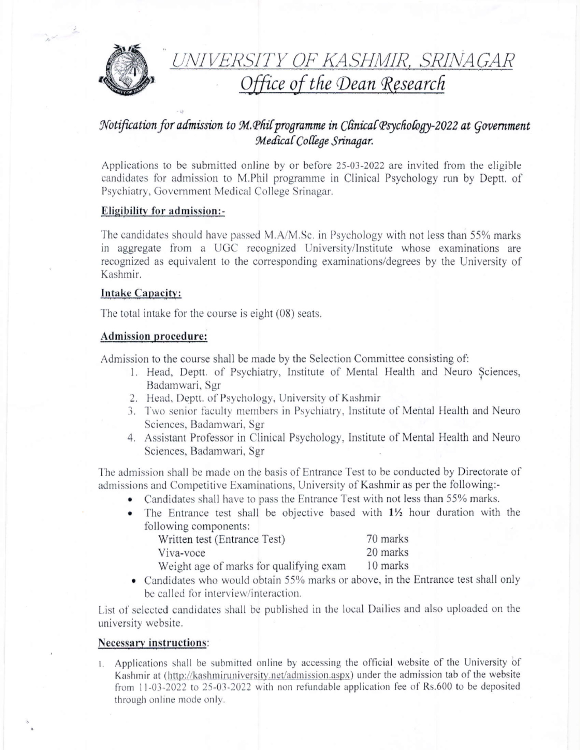

# UNIVERSITY OF KASHMIR, SRINAGAR<br>Office of the Dean Research

## Notification for admission to M. Phil programme in Clinical Psychology-2022 at Government Medical College Srinagar.

Applications to be submitted online by or before 25-03-2022 are invited from the eligible candidates for admission to M.Phil programme in Clinical Psychology run by Deptt, of Psychiatry, Government Medical College Srinagar.

### Eligibility for admission:-

The candidates should have passed M.A/M.Sc. in Psychology with not less than 55% marks in aggregate from a UGC recognized University/Institute whose examinations are recognized as equivalent to the corresponding examinations/degrees by the University of Kashmir.

#### **Intake Capacity:**

The total intake for the course is eight  $(08)$  seats.

#### **Admission procedure:**

Admission to the course shall be made by the Selection Committee consisting of:

- 1. Head, Deptt. of Psychiatry, Institute of Mental Health and Neuro Sciences, Badamwari, Sgr
- 2. Head, Deptt. of Psychology, University of Kashmir
- 3. Two senior faculty members in Psychiatry, Institute of Mental Health and Neuro Sciences, Badamwari, Sgr
- 4. Assistant Professor in Clinical Psychology, Institute of Mental Health and Neuro Sciences, Badamwari, Sgr

The admission shall be made on the basis of Entrance Test to be conducted by Directorate of admissions and Competitive Examinations, University of Kashmir as per the following:-

- Candidates shall have to pass the Entrance Test with not less than 55% marks.  $\bullet$
- The Entrance test shall be objective based with 1<sup>1</sup>/<sub>2</sub> hour duration with the  $\bullet$ following components:

| Written test (Entrance Test)            | 70 marks |
|-----------------------------------------|----------|
| Viva-voce                               | 20 marks |
| Weight age of marks for qualifying exam | 10 marks |

• Candidates who would obtain 55% marks or above, in the Entrance test shall only be called for interview/interaction.

List of selected candidates shall be published in the local Dailies and also uploaded on the university website.

#### **Necessary instructions:**

1. Applications shall be submitted online by accessing the official website of the University of Kashmir at (http://kashmiruniversity.net/admission.aspx) under the admission tab of the website from 11-03-2022 to 25-03-2022 with non refundable application fee of Rs.600 to be deposited through online mode only.